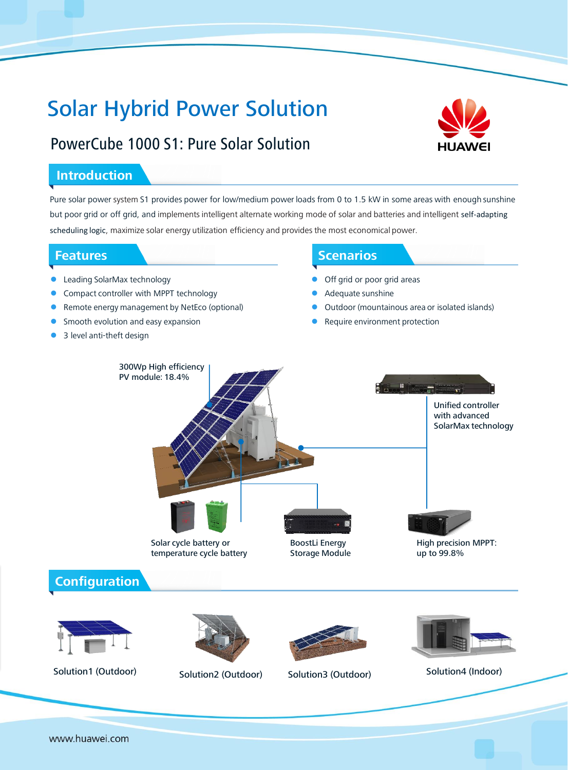# Solar Hybrid Power Solution



# PowerCube 1000 S1: Pure Solar Solution

# **Introduction**

Pure solar power system S1 provides power for low/medium power loads from 0 to 1.5 kW in some areas with enough sunshine but poor grid or off grid, and implements intelligent alternate working mode of solar and batteries and intelligent self-adapting scheduling logic, maximize solar energy utilization efficiency and provides the most economical power.

# **Features**

- Leading SolarMax technology
- Compact controller with MPPT technology
- Remote energy management by NetEco (optional)
- Smooth evolution and easy expansion
- 3 level anti-theft design

## **Scenarios**

- Off grid or poor grid areas
- Adequate sunshine
- Outdoor (mountainous area or isolated islands)
- Require environment protection













www.huawei.com